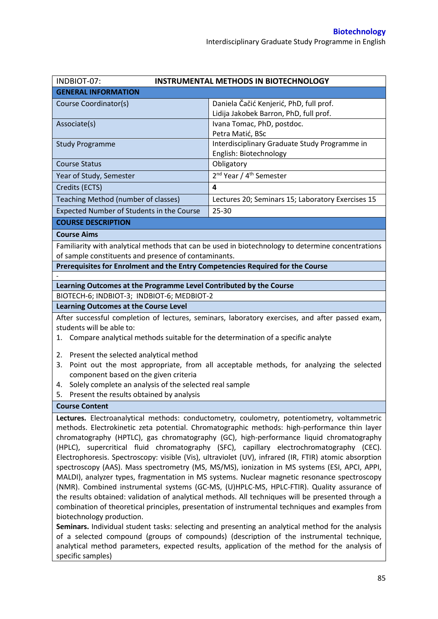| INDBIOT-07:                                                                                           | <b>INSTRUMENTAL METHODS IN BIOTECHNOLOGY</b>                                                      |  |  |  |
|-------------------------------------------------------------------------------------------------------|---------------------------------------------------------------------------------------------------|--|--|--|
| <b>GENERAL INFORMATION</b>                                                                            |                                                                                                   |  |  |  |
|                                                                                                       |                                                                                                   |  |  |  |
| Course Coordinator(s)                                                                                 | Daniela Čačić Kenjerić, PhD, full prof.<br>Lidija Jakobek Barron, PhD, full prof.                 |  |  |  |
| Associate(s)                                                                                          | Ivana Tomac, PhD, postdoc.                                                                        |  |  |  |
|                                                                                                       | Petra Matić, BSc                                                                                  |  |  |  |
| <b>Study Programme</b>                                                                                | Interdisciplinary Graduate Study Programme in                                                     |  |  |  |
|                                                                                                       | English: Biotechnology                                                                            |  |  |  |
| <b>Course Status</b>                                                                                  | Obligatory                                                                                        |  |  |  |
| Year of Study, Semester                                                                               | 2 <sup>nd</sup> Year / 4 <sup>th</sup> Semester                                                   |  |  |  |
| Credits (ECTS)                                                                                        | 4                                                                                                 |  |  |  |
| Teaching Method (number of classes)                                                                   | Lectures 20; Seminars 15; Laboratory Exercises 15                                                 |  |  |  |
| Expected Number of Students in the Course                                                             | 25-30                                                                                             |  |  |  |
| <b>COURSE DESCRIPTION</b>                                                                             |                                                                                                   |  |  |  |
| <b>Course Aims</b>                                                                                    |                                                                                                   |  |  |  |
|                                                                                                       | Familiarity with analytical methods that can be used in biotechnology to determine concentrations |  |  |  |
| of sample constituents and presence of contaminants.                                                  |                                                                                                   |  |  |  |
| Prerequisites for Enrolment and the Entry Competencies Required for the Course                        |                                                                                                   |  |  |  |
|                                                                                                       |                                                                                                   |  |  |  |
| Learning Outcomes at the Programme Level Contributed by the Course                                    |                                                                                                   |  |  |  |
| BIOTECH-6; INDBIOT-3; INDBIOT-6; MEDBIOT-2                                                            |                                                                                                   |  |  |  |
| <b>Learning Outcomes at the Course Level</b>                                                          |                                                                                                   |  |  |  |
|                                                                                                       | After successful completion of lectures, seminars, laboratory exercises, and after passed exam,   |  |  |  |
| students will be able to:                                                                             |                                                                                                   |  |  |  |
| 1. Compare analytical methods suitable for the determination of a specific analyte                    |                                                                                                   |  |  |  |
| Present the selected analytical method<br>2.                                                          |                                                                                                   |  |  |  |
| 3.                                                                                                    | Point out the most appropriate, from all acceptable methods, for analyzing the selected           |  |  |  |
| component based on the given criteria                                                                 |                                                                                                   |  |  |  |
| Solely complete an analysis of the selected real sample<br>4.                                         |                                                                                                   |  |  |  |
| Present the results obtained by analysis<br>5.                                                        |                                                                                                   |  |  |  |
| <b>Course Content</b>                                                                                 |                                                                                                   |  |  |  |
| Lectures. Electroanalytical methods: conductometry, coulometry, potentiometry, voltammetric           |                                                                                                   |  |  |  |
| methods. Electrokinetic zeta potential. Chromatographic methods: high-performance thin layer          |                                                                                                   |  |  |  |
| chromatography (HPTLC), gas chromatography (GC), high-performance liquid chromatography               |                                                                                                   |  |  |  |
| (HPLC), supercritical fluid chromatography (SFC), capillary electrochromatography (CEC).              |                                                                                                   |  |  |  |
| Electrophoresis. Spectroscopy: visible (Vis), ultraviolet (UV), infrared (IR, FTIR) atomic absorption |                                                                                                   |  |  |  |
| spectroscopy (AAS). Mass spectrometry (MS, MS/MS), ionization in MS systems (ESI, APCI, APPI,         |                                                                                                   |  |  |  |
| MALDI), analyzer types, fragmentation in MS systems. Nuclear magnetic resonance spectroscopy          |                                                                                                   |  |  |  |
| (NMR). Combined instrumental systems (GC-MS, (U)HPLC-MS, HPLC-FTIR). Quality assurance of             |                                                                                                   |  |  |  |
| the results obtained: validation of analytical methods. All techniques will be presented through a    |                                                                                                   |  |  |  |
| combination of theoretical principles, presentation of instrumental techniques and examples from      |                                                                                                   |  |  |  |
| biotechnology production.                                                                             |                                                                                                   |  |  |  |
| Seminars. Individual student tasks: selecting and presenting an analytical method for the analysis    |                                                                                                   |  |  |  |

of a selected compound (groups of compounds) (description of the instrumental technique, analytical method parameters, expected results, application of the method for the analysis of specific samples)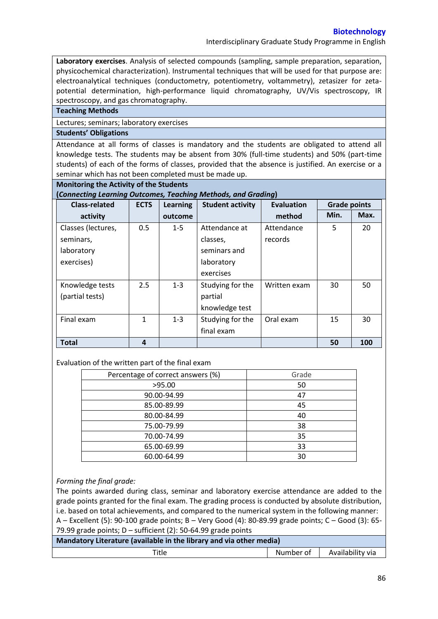**Biotechnology** 

Interdisciplinary Graduate Study Programme in English

**Laboratory exercises**. Analysis of selected compounds (sampling, sample preparation, separation, physicochemical characterization). Instrumental techniques that will be used for that purpose are: electroanalytical techniques (conductometry, potentiometry, voltammetry), zetasizer for zetapotential determination, high-performance liquid chromatography, UV/Vis spectroscopy, IR spectroscopy, and gas chromatography.

### **Teaching Methods**

Lectures; seminars; laboratory exercises

### **Students' Obligations**

Attendance at all forms of classes is mandatory and the students are obligated to attend all knowledge tests. The students may be absent from 30% (full-time students) and 50% (part-time students) of each of the forms of classes, provided that the absence is justified. An exercise or a seminar which has not been completed must be made up.

### **Monitoring the Activity of the Students**

**(***Connecting Learning Outcomes, Teaching Methods, and Grading***)**

| <b>Class-related</b> | <b>ECTS</b> | <b>Learning</b> | <b>Student activity</b> | <b>Evaluation</b> | <b>Grade points</b> |      |
|----------------------|-------------|-----------------|-------------------------|-------------------|---------------------|------|
| activity             |             | outcome         |                         | method            | Min.                | Max. |
| Classes (lectures,   | 0.5         | $1 - 5$         | Attendance at           | Attendance        | 5                   | 20   |
| seminars,            |             |                 | classes,                | records           |                     |      |
| laboratory           |             |                 | seminars and            |                   |                     |      |
| exercises)           |             |                 | laboratory              |                   |                     |      |
|                      |             |                 | exercises               |                   |                     |      |
| Knowledge tests      | 2.5         | $1 - 3$         | Studying for the        | Written exam      | 30                  | 50   |
| (partial tests)      |             |                 | partial                 |                   |                     |      |
|                      |             |                 | knowledge test          |                   |                     |      |
| Final exam           | 1           | $1 - 3$         | Studying for the        | Oral exam         | 15                  | 30   |
|                      |             |                 | final exam              |                   |                     |      |
| <b>Total</b>         | 4           |                 |                         |                   | 50                  | 100  |

## Evaluation of the written part of the final exam

| Percentage of correct answers (%) | Grade |
|-----------------------------------|-------|
| >95.00                            | 50    |
| 90.00-94.99                       | 47    |
| 85.00-89.99                       | 45    |
| 80.00-84.99                       | 40    |
| 75.00-79.99                       | 38    |
| 70.00-74.99                       | 35    |
| 65.00-69.99                       | 33    |
| 60.00-64.99                       | 30    |

## *Forming the final grade:*

The points awarded during class, seminar and laboratory exercise attendance are added to the grade points granted for the final exam. The grading process is conducted by absolute distribution, i.e. based on total achievements, and compared to the numerical system in the following manner: A – Excellent (5): 90-100 grade points; B – Very Good (4): 80-89.99 grade points; C – Good (3): 65- 79.99 grade points; D – sufficient (2): 50-64.99 grade points

| Mandatory Literature (available in the library and via other media) |                  |  |  |  |  |
|---------------------------------------------------------------------|------------------|--|--|--|--|
| Number of                                                           |                  |  |  |  |  |
|                                                                     | Availability via |  |  |  |  |